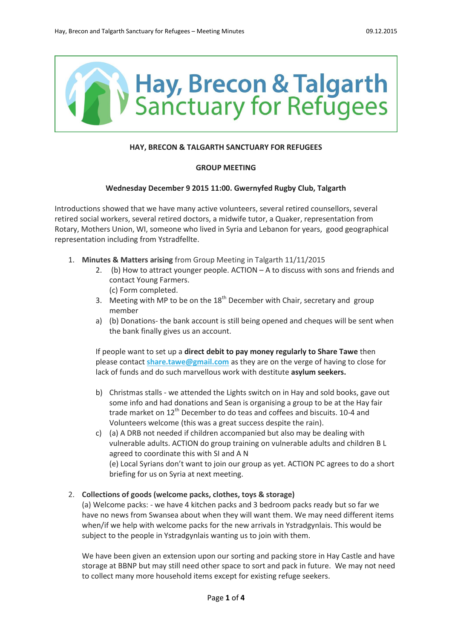

# **HAY, BRECON & TALGARTH SANCTUARY FOR REFUGEES**

# **GROUP MEETING**

# **Wednesday December 9 2015 11:00. Gwernyfed Rugby Club, Talgarth**

Introductions showed that we have many active volunteers, several retired counsellors, several retired social workers, several retired doctors, a midwife tutor, a Quaker, representation from Rotary, Mothers Union, WI, someone who lived in Syria and Lebanon for years, good geographical representation including from Ystradfellte.

- 1. **Minutes & Matters arising** from Group Meeting in Talgarth 11/11/2015
	- 2. (b) How to attract younger people. ACTION A to discuss with sons and friends and contact Young Farmers. (c) Form completed.
	- 3. Meeting with MP to be on the  $18<sup>th</sup>$  December with Chair, secretary and group member
	- a) (b) Donations- the bank account is still being opened and cheques will be sent when the bank finally gives us an account.

If people want to set up a **direct debit to pay money regularly to Share Tawe** then please contact **[share.tawe@gmail.com](mailto:share.tawe@gmail.com)** as they are on the verge of having to close for lack of funds and do such marvellous work with destitute **asylum seekers.**

- b) Christmas stalls we attended the Lights switch on in Hay and sold books, gave out some info and had donations and Sean is organising a group to be at the Hay fair trade market on 12<sup>th</sup> December to do teas and coffees and biscuits. 10-4 and Volunteers welcome (this was a great success despite the rain).
- c) (a) A DRB not needed if children accompanied but also may be dealing with vulnerable adults. ACTION do group training on vulnerable adults and children B L agreed to coordinate this with SI and A N (e) Local Syrians don't want to join our group as yet. ACTION PC agrees to do a short briefing for us on Syria at next meeting.

# 2. **Collections of goods (welcome packs, clothes, toys & storage)**

(a) Welcome packs: - we have 4 kitchen packs and 3 bedroom packs ready but so far we have no news from Swansea about when they will want them. We may need different items when/if we help with welcome packs for the new arrivals in Ystradgynlais. This would be subject to the people in Ystradgynlais wanting us to join with them.

We have been given an extension upon our sorting and packing store in Hay Castle and have storage at BBNP but may still need other space to sort and pack in future. We may not need to collect many more household items except for existing refuge seekers.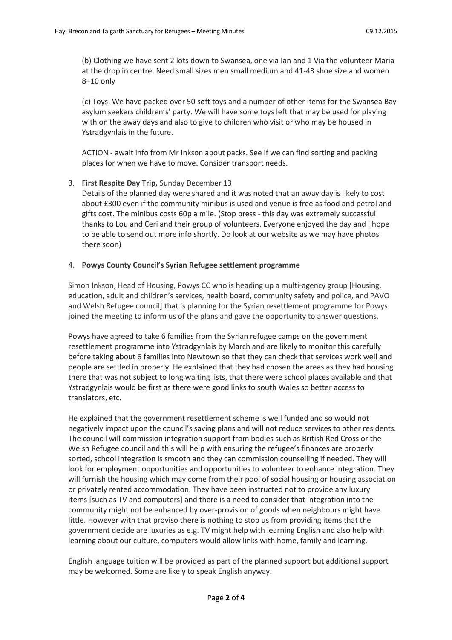(b) Clothing we have sent 2 lots down to Swansea, one via Ian and 1 Via the volunteer Maria at the drop in centre. Need small sizes men small medium and 41-43 shoe size and women 8–10 only

(c) Toys. We have packed over 50 soft toys and a number of other items for the Swansea Bay asylum seekers children's' party. We will have some toys left that may be used for playing with on the away days and also to give to children who visit or who may be housed in Ystradgynlais in the future.

ACTION - await info from Mr Inkson about packs. See if we can find sorting and packing places for when we have to move. Consider transport needs.

#### 3. **First Respite Day Trip,** Sunday December 13

Details of the planned day were shared and it was noted that an away day is likely to cost about £300 even if the community minibus is used and venue is free as food and petrol and gifts cost. The minibus costs 60p a mile. (Stop press - this day was extremely successful thanks to Lou and Ceri and their group of volunteers. Everyone enjoyed the day and I hope to be able to send out more info shortly. Do look at our website as we may have photos there soon)

#### 4. **Powys County Council's Syrian Refugee settlement programme**

Simon Inkson, Head of Housing, Powys CC who is heading up a multi-agency group [Housing, education, adult and children's services, health board, community safety and police, and PAVO and Welsh Refugee council] that is planning for the Syrian resettlement programme for Powys joined the meeting to inform us of the plans and gave the opportunity to answer questions.

Powys have agreed to take 6 families from the Syrian refugee camps on the government resettlement programme into Ystradgynlais by March and are likely to monitor this carefully before taking about 6 families into Newtown so that they can check that services work well and people are settled in properly. He explained that they had chosen the areas as they had housing there that was not subject to long waiting lists, that there were school places available and that Ystradgynlais would be first as there were good links to south Wales so better access to translators, etc.

He explained that the government resettlement scheme is well funded and so would not negatively impact upon the council's saving plans and will not reduce services to other residents. The council will commission integration support from bodies such as British Red Cross or the Welsh Refugee council and this will help with ensuring the refugee's finances are properly sorted, school integration is smooth and they can commission counselling if needed. They will look for employment opportunities and opportunities to volunteer to enhance integration. They will furnish the housing which may come from their pool of social housing or housing association or privately rented accommodation. They have been instructed not to provide any luxury items [such as TV and computers] and there is a need to consider that integration into the community might not be enhanced by over-provision of goods when neighbours might have little. However with that proviso there is nothing to stop us from providing items that the government decide are luxuries as e.g. TV might help with learning English and also help with learning about our culture, computers would allow links with home, family and learning.

English language tuition will be provided as part of the planned support but additional support may be welcomed. Some are likely to speak English anyway.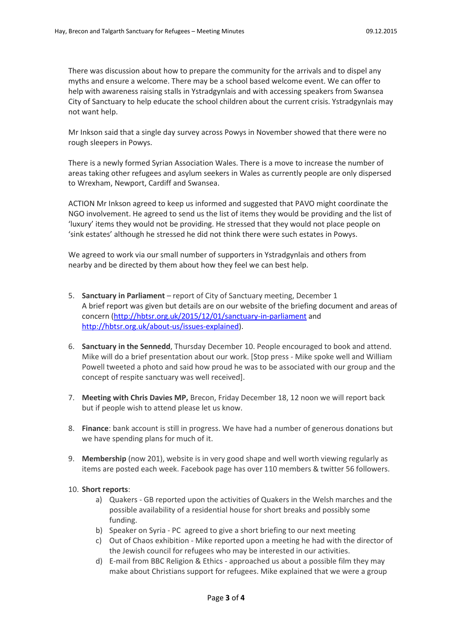There was discussion about how to prepare the community for the arrivals and to dispel any myths and ensure a welcome. There may be a school based welcome event. We can offer to help with awareness raising stalls in Ystradgynlais and with accessing speakers from Swansea City of Sanctuary to help educate the school children about the current crisis. Ystradgynlais may not want help.

Mr Inkson said that a single day survey across Powys in November showed that there were no rough sleepers in Powys.

There is a newly formed Syrian Association Wales. There is a move to increase the number of areas taking other refugees and asylum seekers in Wales as currently people are only dispersed to Wrexham, Newport, Cardiff and Swansea.

ACTION Mr Inkson agreed to keep us informed and suggested that PAVO might coordinate the NGO involvement. He agreed to send us the list of items they would be providing and the list of 'luxury' items they would not be providing. He stressed that they would not place people on 'sink estates' although he stressed he did not think there were such estates in Powys.

We agreed to work via our small number of supporters in Ystradgynlais and others from nearby and be directed by them about how they feel we can best help.

- 5. **Sanctuary in Parliament** report of City of Sanctuary meeting, December 1 A brief report was given but details are on our website of the briefing document and areas of concern [\(http://hbtsr.org.uk/2015/12/01/sanctuary-in-parliament](http://hbtsr.org.uk/2015/12/01/sanctuary-in-parliament) and [http://hbtsr.org.uk/about-us/issues-explained\)](http://hbtsr.org.uk/about-us/issues-explained).
- 6. **Sanctuary in the Sennedd**, Thursday December 10. People encouraged to book and attend. Mike will do a brief presentation about our work. [Stop press - Mike spoke well and William Powell tweeted a photo and said how proud he was to be associated with our group and the concept of respite sanctuary was well received].
- 7. **Meeting with Chris Davies MP,** Brecon, Friday December 18, 12 noon we will report back but if people wish to attend please let us know.
- 8. **Finance**: bank account is still in progress. We have had a number of generous donations but we have spending plans for much of it.
- 9. **Membership** (now 201), website is in very good shape and well worth viewing regularly as items are posted each week. Facebook page has over 110 members & twitter 56 followers.

#### 10. **Short reports**:

- a) Quakers GB reported upon the activities of Quakers in the Welsh marches and the possible availability of a residential house for short breaks and possibly some funding.
- b) Speaker on Syria PC agreed to give a short briefing to our next meeting
- c) Out of Chaos exhibition Mike reported upon a meeting he had with the director of the Jewish council for refugees who may be interested in our activities.
- d) E-mail from BBC Religion & Ethics approached us about a possible film they may make about Christians support for refugees. Mike explained that we were a group